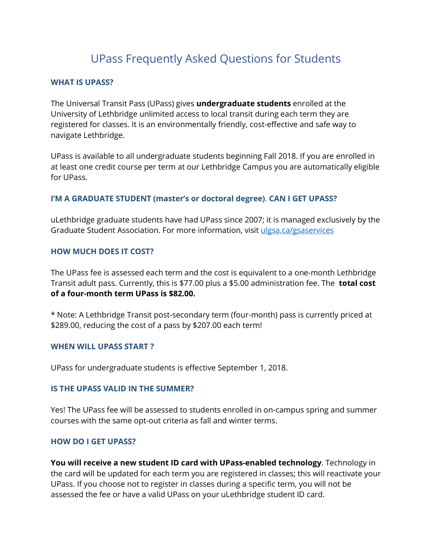# UPass Frequently Asked Questions for Students

## **WHAT IS UPASS?**

The Universal Transit Pass (UPass) gives **undergraduate students** enrolled at the University of Lethbridge unlimited access to local transit during each term they are registered for classes. It is an environmentally friendly, cost-effective and safe way to navigate Lethbridge.

UPass is available to all undergraduate students beginning Fall 2018. If you are enrolled in at least one credit course per term at our Lethbridge Campus you are automatically eligible for UPass.

## **I'M A GRADUATE STUDENT (master's or doctoral degree)**. **CAN I GET UPASS?**

uLethbridge graduate students have had UPass since 2007; it is managed exclusively by the Graduate Student Association. For more information, visit ulgsa.ca/gsaservices

## **HOW MUCH DOES IT COST?**

The UPass fee is assessed each term and the cost is equivalent to a one-month Lethbridge Transit adult pass. Currently, this is \$77.00 plus a \$5.00 administration fee. The **total cost of a four-month term UPass is \$82.00.**

\* Note: A Lethbridge Transit post-secondary term (four-month) pass is currently priced at \$289.00, reducing the cost of a pass by \$207.00 each term!

#### **WHEN WILL UPASS START ?**

UPass for undergraduate students is effective September 1, 2018.

#### **IS THE UPASS VALID IN THE SUMMER?**

Yes! The UPass fee will be assessed to students enrolled in on-campus spring and summer courses with the same opt-out criteria as fall and winter terms.

#### **HOW DO I GET UPASS?**

**You will receive a new student ID card with UPass-enabled technology**. Technology in the card will be updated for each term you are registered in classes; this will reactivate your UPass. If you choose not to register in classes during a specific term, you will not be assessed the fee or have a valid UPass on your uLethbridge student ID card.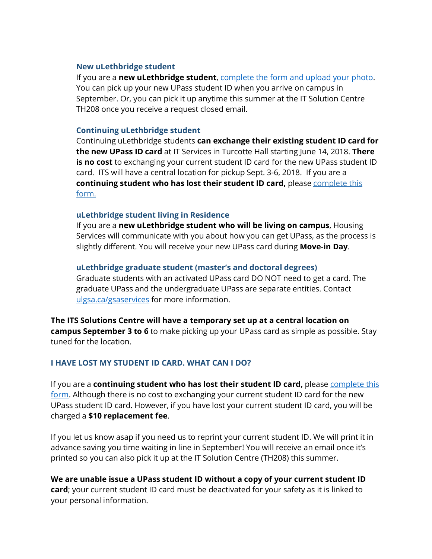#### **New uLethbridge student**

If you are a **new uLethbridge student**, complete the form and upload your photo. You can pick up your new UPass student ID when you arrive on campus in September. Or, you can pick it up anytime this summer at the IT Solution Centre TH208 once you receive a request closed email.

#### **Continuing uLethbridge student**

Continuing uLethbridge students **can exchange their existing student ID card for the new UPass ID card** at IT Services in Turcotte Hall starting June 14, 2018. **There is no cost** to exchanging your current student ID card for the new UPass student ID card. ITS will have a central location for pickup Sept. 3-6, 2018. If you are a **continuing student who has lost their student ID card,** please complete this form.

## **uLethbridge student living in Residence**

If you are a **new uLethbridge student who will be living on campus**, Housing Services will communicate with you about how you can get UPass, as the process is slightly different. You will receive your new UPass card during **Move-in Day**.

## **uLethbridge graduate student (master's and doctoral degrees)**

Graduate students with an activated UPass card DO NOT need to get a card. The graduate UPass and the undergraduate UPass are separate entities. Contact ulgsa.ca/gsaservices for more information.

**The ITS Solutions Centre will have a temporary set up at a central location on campus September 3 to 6** to make picking up your UPass card as simple as possible. Stay tuned for the location.

## **I HAVE LOST MY STUDENT ID CARD. WHAT CAN I DO?**

If you are a **continuing student who has lost their student ID card,** please complete this form. Although there is no cost to exchanging your current student ID card for the new UPass student ID card. However, if you have lost your current student ID card, you will be charged a **\$10 replacement fee**.

If you let us know asap if you need us to reprint your current student ID. We will print it in advance saving you time waiting in line in September! You will receive an email once it's printed so you can also pick it up at the IT Solution Centre (TH208) this summer.

**We are unable issue a UPass student ID without a copy of your current student ID card**; your current student ID card must be deactivated for your safety as it is linked to your personal information.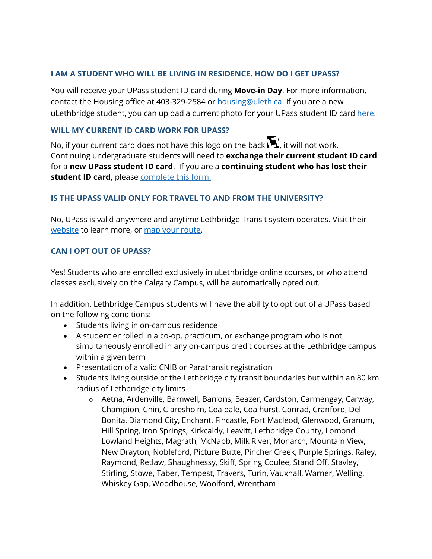## **I AM A STUDENT WHO WILL BE LIVING IN RESIDENCE. HOW DO I GET UPASS?**

You will receive your UPass student ID card during **Move-in Day**. For more information, contact the Housing office at 403-329-2584 or housing@uleth.ca. If you are a new uLethbridge student, you can upload a current photo for your UPass student ID card here.

## **WILL MY CURRENT ID CARD WORK FOR UPASS?**

No, if your current card does not have this logo on the back  $\blacksquare$ , it will not work. Continuing undergraduate students will need to **exchange their current student ID card** for a **new UPass student ID card**. If you are a **continuing student who has lost their**  student ID card, please complete this form.

## **IS THE UPASS VALID ONLY FOR TRAVEL TO AND FROM THE UNIVERSITY?**

No, UPass is valid anywhere and anytime Lethbridge Transit system operates. Visit their website to learn more, or map your route.

## **CAN I OPT OUT OF UPASS?**

Yes! Students who are enrolled exclusively in uLethbridge online courses, or who attend classes exclusively on the Calgary Campus, will be automatically opted out.

In addition, Lethbridge Campus students will have the ability to opt out of a UPass based on the following conditions:

- Students living in on-campus residence
- A student enrolled in a co-op, practicum, or exchange program who is not simultaneously enrolled in any on-campus credit courses at the Lethbridge campus within a given term
- Presentation of a valid CNIB or Paratransit registration
- Students living outside of the Lethbridge city transit boundaries but within an 80 km radius of Lethbridge city limits
	- o Aetna, Ardenville, Barnwell, Barrons, Beazer, Cardston, Carmengay, Carway, Champion, Chin, Claresholm, Coaldale, Coalhurst, Conrad, Cranford, Del Bonita, Diamond City, Enchant, Fincastle, Fort Macleod, Glenwood, Granum, Hill Spring, Iron Springs, Kirkcaldy, Leavitt, Lethbridge County, Lomond Lowland Heights, Magrath, McNabb, Milk River, Monarch, Mountain View, New Drayton, Nobleford, Picture Butte, Pincher Creek, Purple Springs, Raley, Raymond, Retlaw, Shaughnessy, Skiff, Spring Coulee, Stand Off, Stavley, Stirling, Stowe, Taber, Tempest, Travers, Turin, Vauxhall, Warner, Welling, Whiskey Gap, Woodhouse, Woolford, Wrentham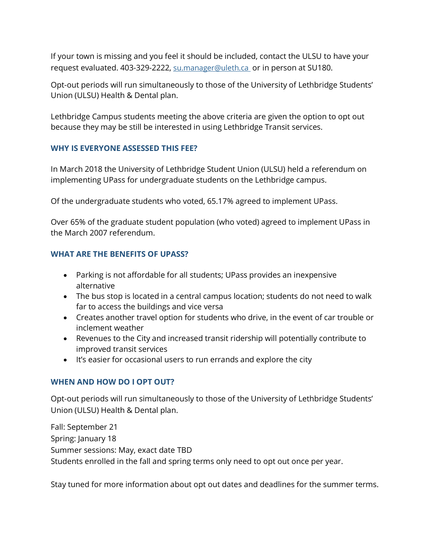If your town is missing and you feel it should be included, contact the ULSU to have your request evaluated. 403-329-2222, su.manager@uleth.ca or in person at SU180.

Opt-out periods will run simultaneously to those of the University of Lethbridge Students' Union (ULSU) Health & Dental plan.

Lethbridge Campus students meeting the above criteria are given the option to opt out because they may be still be interested in using Lethbridge Transit services.

## **WHY IS EVERYONE ASSESSED THIS FEE?**

In March 2018 the University of Lethbridge Student Union (ULSU) held a referendum on implementing UPass for undergraduate students on the Lethbridge campus.

Of the undergraduate students who voted, 65.17% agreed to implement UPass.

Over 65% of the graduate student population (who voted) agreed to implement UPass in the March 2007 referendum.

# **WHAT ARE THE BENEFITS OF UPASS?**

- Parking is not affordable for all students; UPass provides an inexpensive alternative
- The bus stop is located in a central campus location; students do not need to walk far to access the buildings and vice versa
- Creates another travel option for students who drive, in the event of car trouble or inclement weather
- Revenues to the City and increased transit ridership will potentially contribute to improved transit services
- It's easier for occasional users to run errands and explore the city

# **WHEN AND HOW DO I OPT OUT?**

Opt-out periods will run simultaneously to those of the University of Lethbridge Students' Union (ULSU) Health & Dental plan.

Fall: September 21 Spring: January 18 Summer sessions: May, exact date TBD Students enrolled in the fall and spring terms only need to opt out once per year.

Stay tuned for more information about opt out dates and deadlines for the summer terms.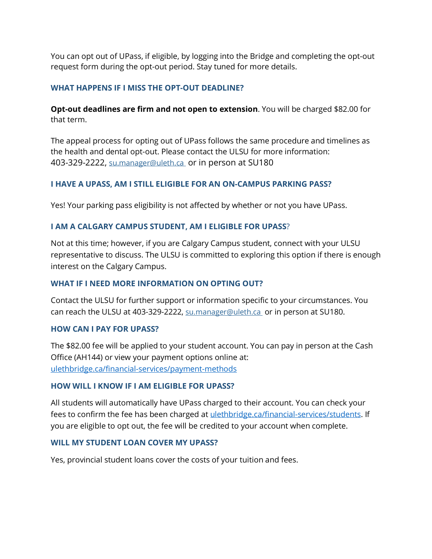You can opt out of UPass, if eligible, by logging into the Bridge and completing the opt-out request form during the opt-out period. Stay tuned for more details.

## **WHAT HAPPENS IF I MISS THE OPT-OUT DEADLINE?**

**Opt-out deadlines are firm and not open to extension**. You will be charged \$82.00 for that term.

The appeal process for opting out of UPass follows the same procedure and timelines as the health and dental opt-out. Please contact the ULSU for more information: 403-329-2222, su.manager@uleth.ca or in person at SU180

## **I HAVE A UPASS, AM I STILL ELIGIBLE FOR AN ON-CAMPUS PARKING PASS?**

Yes! Your parking pass eligibility is not affected by whether or not you have UPass.

## **I AM A CALGARY CAMPUS STUDENT, AM I ELIGIBLE FOR UPASS**?

Not at this time; however, if you are Calgary Campus student, connect with your ULSU representative to discuss. The ULSU is committed to exploring this option if there is enough interest on the Calgary Campus.

#### **WHAT IF I NEED MORE INFORMATION ON OPTING OUT?**

Contact the ULSU for further support or information specific to your circumstances. You can reach the ULSU at 403-329-2222, su.manager@uleth.ca or in person at SU180.

#### **HOW CAN I PAY FOR UPASS?**

The \$82.00 fee will be applied to your student account. You can pay in person at the Cash Office (AH144) or view your payment options online at: ulethbridge.ca/financial-services/payment-methods

#### **HOW WILL I KNOW IF I AM ELIGIBLE FOR UPASS?**

All students will automatically have UPass charged to their account. You can check your fees to confirm the fee has been charged at *ulethbridge.ca/financial-services/students*. If you are eligible to opt out, the fee will be credited to your account when complete.

#### **WILL MY STUDENT LOAN COVER MY UPASS?**

Yes, provincial student loans cover the costs of your tuition and fees.